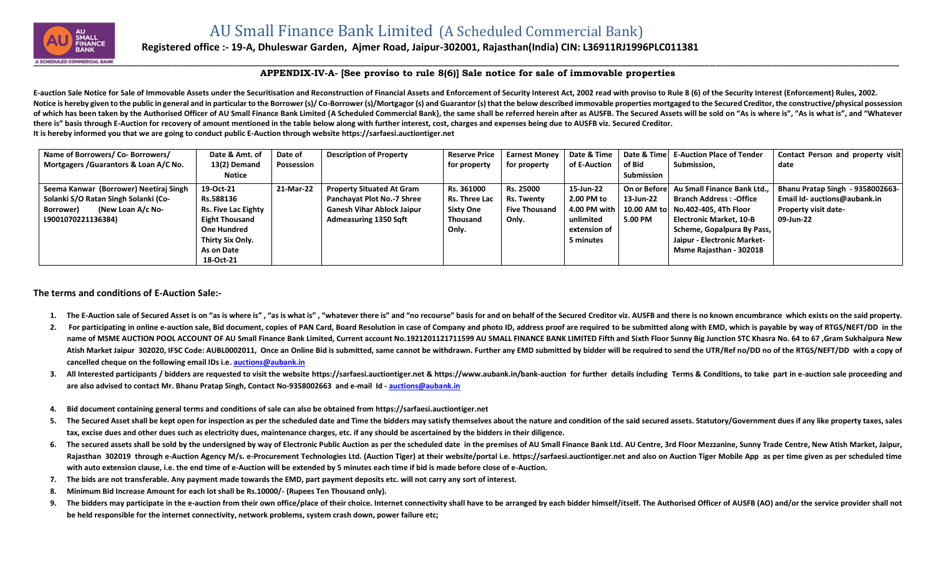

## **Registered office :- 19-A, Dhuleswar Garden, Ajmer Road, Jaipur-302001, Rajasthan(India) CIN: L36911RJ1996PLC011381**

## **APPENDIX-IV-A- [See proviso to rule 8(6)] Sale notice for sale of immovable properties**

E-auction Sale Notice for Sale of Immovable Assets under the Securitisation and Reconstruction of Financial Assets and Enforcement of Security Interest Act, 2002 read with proviso to Rule 8 (6) of the Security Interest (En Notice is hereby given to the public in general and in particular to the Borrower (s)/Co-Borrower (s)/Mortgagor (s) and Guarantor (s) that the below described immovable properties mortgaged to the Secured Creditor, the con of which has been taken by the Authorised Officer of AU Small Finance Bank Limited {A Scheduled Commercial Bank}, the same shall be referred herein after as AUSFB. The Secured Assets will be sold on "As is where is", "As i **there is" basis through E-Auction for recovery of amount mentioned in the table below along with further interest, cost, charges and expenses being due to AUSFB viz. Secured Creditor. It is hereby informed you that we are going to conduct public E-Auction through website [https://sarfaesi.auctiontiger.net](https://sarfaesi.auctiontiger.net/)** 

| Name of Borrowers/ Co- Borrowers/<br>Mortgagers / Guarantors & Loan A/C No.    | Date & Amt. of<br>13(2) Demand                      | Date of<br>Possession | <b>Description of Property</b>                                    | <b>Reserve Price</b><br>for property | <b>Earnest Money</b><br>for property | Date & Time<br>of E-Auction | Date & Time<br>of Bid      | <b>E-Auction Place of Tender</b><br>Submission.               | Contact Person and property visit<br>date                               |
|--------------------------------------------------------------------------------|-----------------------------------------------------|-----------------------|-------------------------------------------------------------------|--------------------------------------|--------------------------------------|-----------------------------|----------------------------|---------------------------------------------------------------|-------------------------------------------------------------------------|
|                                                                                | Notice                                              |                       |                                                                   |                                      |                                      |                             | Submission                 |                                                               |                                                                         |
| Seema Kanwar (Borrower) Neetiraj Singh<br>Solanki S/O Ratan Singh Solanki (Co- | 19-Oct-21<br>Rs.588136                              | 21-Mar-22             | <b>Property Situated At Gram</b><br>Panchayat Plot No.-7 Shree    | Rs. 361000<br>Rs. Three Lac          | Rs. 25000<br>Rs. Twenty              | 15-Jun-22<br>2.00 PM to     | On or Beforel<br>13-Jun-22 | Au Small Finance Bank Ltd.,<br><b>Branch Address: -Office</b> | <b>Bhanu Pratap Singh - 9358002663-</b><br>Email Id- auctions@aubank.in |
| (New Loan A/c No-<br>Borrower)<br>L9001070221136384)                           | <b>Rs. Five Lac Eighty</b><br><b>Eight Thousand</b> |                       | <b>Ganesh Vihar Ablock Jaipur</b><br><b>Admeasuring 1350 Sqft</b> | <b>Sixty One</b><br><b>Thousand</b>  | <b>Five Thousand</b><br>Only.        | 4.00 PM with I<br>unlimited | 10.00 AM to<br>5.00 PM     | No.402-405, 4Th Floor<br><b>Electronic Market, 10-B</b>       | <b>Property visit date-</b><br>09-Jun-22                                |
|                                                                                | <b>One Hundred</b>                                  |                       |                                                                   | Only.                                |                                      | extension of                |                            | Scheme, Gopalpura By Pass,                                    |                                                                         |
|                                                                                | Thirty Six Only.<br>As on Date                      |                       |                                                                   |                                      |                                      | 5 minutes                   |                            | Jaipur - Electronic Market-<br>Msme Rajasthan - 302018        |                                                                         |
|                                                                                | 18-Oct-21                                           |                       |                                                                   |                                      |                                      |                             |                            |                                                               |                                                                         |

## **The terms and conditions of E-Auction Sale:-**

- 1. The E-Auction sale of Secured Asset is on "as is where is", "as is what is", "whatever there is" and "no recourse" basis for and on behalf of the Secured Creditor viz. AUSFB and there is no known encumbrance which exist
- 2. For participating in online e-auction sale, Bid document, copies of PAN Card, Board Resolution in case of Company and photo ID, address proof are required to be submitted along with EMD, which is payable by way of RTGS/ name of MSME AUCTION POOL ACCOUNT OF AU Small Finance Bank Limited, Current account No.1921201121711599 AU SMALL FINANCE BANK LIMITED Fifth and Sixth Floor Sunny Big Junction STC Khasra No. 64 to 67, Gram Sukhaipura New Atish Market Jaipur 302020, IFSC Code: AUBL0002011, Once an Online Bid is submitted, same cannot be withdrawn. Further any EMD submitted by bidder will be required to send the UTR/Ref no/DD no of the RTGS/NEFT/DD with a co **cancelled cheque on the following email IDs i.e. [auctions@aubank.in](mailto:auctions@aubank.in)**
- 3. All Interested participants / bidders are requested to visit the website [https://sarfaesi.auctiontiger.net](https://sarfaesi.auctiontiger.net/) & https://www.aubank.in/bank-auction for further details including Terms & Conditions, to take part in e-auction **are also advised to contact Mr. Bhanu Pratap Singh, Contact No-9358002663 and e-mail Id - [auctions@aubank.in](mailto:auctions@aubank.in)**
- **4. Bid document containing general terms and conditions of sale can also be obtained fro[m https://sarfaesi.auctiontiger.net](https://edelweissarc.auctiontiger.net/)**
- 5. The Secured Asset shall be kept open for inspection as per the scheduled date and Time the bidders may satisfy themselves about the nature and condition of the said secured assets. Statutory/Government dues if any like **tax, excise dues and other dues such as electricity dues, maintenance charges, etc. if any should be ascertained by the bidders in their diligence.**
- 6. The secured assets shall be sold by the undersigned by way of Electronic Public Auction as per the scheduled date in the premises of AU Small Finance Bank Ltd. AU Centre, 3rd Floor Mezzanine, Sunny Trade Centre, New Ati Rajasthan 302019 through e-Auction Agency M/s. e-Procurement Technologies Ltd. (Auction Tiger) at their website/portal i.e. [https://sarfaesi.auctiontiger.net](https://sarfaesi.auctiontiger.net/) and also on Auction Tiger Mobile App as per time given as per sc **with auto extension clause, i.e. the end time of e-Auction will be extended by 5 minutes each time if bid is made before close of e-Auction.**
- **7. The bids are not transferable. Any payment made towards the EMD, part payment deposits etc. will not carry any sort of interest.**
- **8. Minimum Bid Increase Amount for each lot shall be Rs.10000/- (Rupees Ten Thousand only).**
- 9. The bidders may participate in the e-auction from their own office/place of their choice. Internet connectivity shall have to be arranged by each bidder himself/itself. The Authorised Officer of AUSFB (AO) and/or the se **be held responsible for the internet connectivity, network problems, system crash down, power failure etc;**